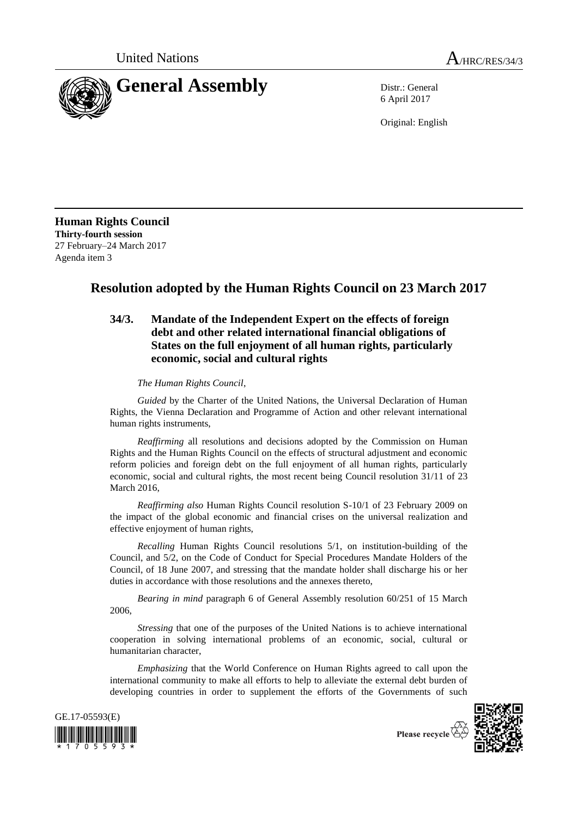

6 April 2017

Original: English

**Human Rights Council Thirty-fourth session** 27 February–24 March 2017 Agenda item 3

## **Resolution adopted by the Human Rights Council on 23 March 2017**

## **34/3. Mandate of the Independent Expert on the effects of foreign debt and other related international financial obligations of States on the full enjoyment of all human rights, particularly economic, social and cultural rights**

*The Human Rights Council*,

*Guided* by the Charter of the United Nations, the Universal Declaration of Human Rights, the Vienna Declaration and Programme of Action and other relevant international human rights instruments,

*Reaffirming* all resolutions and decisions adopted by the Commission on Human Rights and the Human Rights Council on the effects of structural adjustment and economic reform policies and foreign debt on the full enjoyment of all human rights, particularly economic, social and cultural rights, the most recent being Council resolution 31/11 of 23 March 2016,

*Reaffirming also* Human Rights Council resolution S-10/1 of 23 February 2009 on the impact of the global economic and financial crises on the universal realization and effective enjoyment of human rights,

*Recalling* Human Rights Council resolutions 5/1, on institution-building of the Council, and 5/2, on the Code of Conduct for Special Procedures Mandate Holders of the Council, of 18 June 2007, and stressing that the mandate holder shall discharge his or her duties in accordance with those resolutions and the annexes thereto,

*Bearing in mind* paragraph 6 of General Assembly resolution 60/251 of 15 March 2006,

*Stressing* that one of the purposes of the United Nations is to achieve international cooperation in solving international problems of an economic, social, cultural or humanitarian character,

*Emphasizing* that the World Conference on Human Rights agreed to call upon the international community to make all efforts to help to alleviate the external debt burden of developing countries in order to supplement the efforts of the Governments of such



Please recycle  $\overleftrightarrow{G}$ 

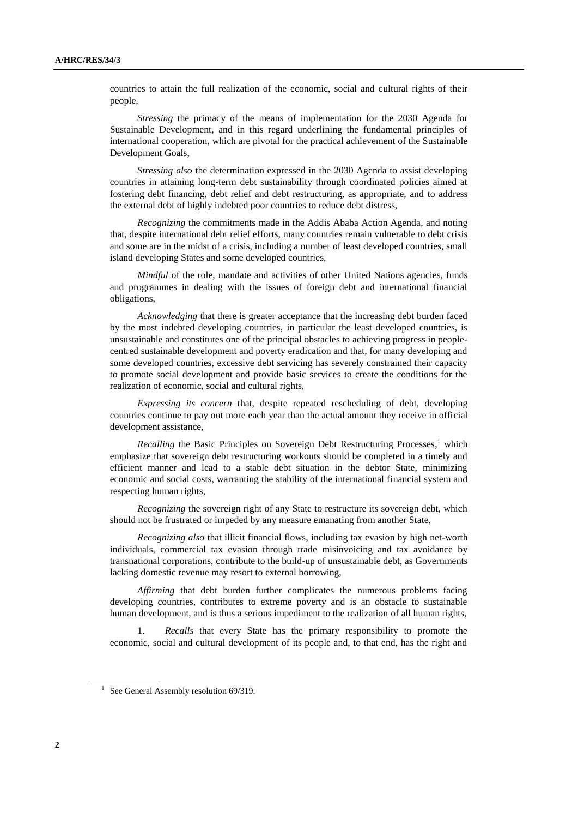countries to attain the full realization of the economic, social and cultural rights of their people,

*Stressing* the primacy of the means of implementation for the 2030 Agenda for Sustainable Development, and in this regard underlining the fundamental principles of international cooperation, which are pivotal for the practical achievement of the Sustainable Development Goals,

*Stressing also* the determination expressed in the 2030 Agenda to assist developing countries in attaining long-term debt sustainability through coordinated policies aimed at fostering debt financing, debt relief and debt restructuring, as appropriate, and to address the external debt of highly indebted poor countries to reduce debt distress,

*Recognizing* the commitments made in the Addis Ababa Action Agenda, and noting that, despite international debt relief efforts, many countries remain vulnerable to debt crisis and some are in the midst of a crisis, including a number of least developed countries, small island developing States and some developed countries,

*Mindful* of the role, mandate and activities of other United Nations agencies, funds and programmes in dealing with the issues of foreign debt and international financial obligations,

*Acknowledging* that there is greater acceptance that the increasing debt burden faced by the most indebted developing countries, in particular the least developed countries, is unsustainable and constitutes one of the principal obstacles to achieving progress in peoplecentred sustainable development and poverty eradication and that, for many developing and some developed countries, excessive debt servicing has severely constrained their capacity to promote social development and provide basic services to create the conditions for the realization of economic, social and cultural rights,

*Expressing its concern* that, despite repeated rescheduling of debt, developing countries continue to pay out more each year than the actual amount they receive in official development assistance,

*Recalling* the Basic Principles on Sovereign Debt Restructuring Processes, <sup>1</sup> which emphasize that sovereign debt restructuring workouts should be completed in a timely and efficient manner and lead to a stable debt situation in the debtor State, minimizing economic and social costs, warranting the stability of the international financial system and respecting human rights,

*Recognizing* the sovereign right of any State to restructure its sovereign debt, which should not be frustrated or impeded by any measure emanating from another State,

*Recognizing also* that illicit financial flows, including tax evasion by high net-worth individuals, commercial tax evasion through trade misinvoicing and tax avoidance by transnational corporations, contribute to the build-up of unsustainable debt, as Governments lacking domestic revenue may resort to external borrowing,

*Affirming* that debt burden further complicates the numerous problems facing developing countries, contributes to extreme poverty and is an obstacle to sustainable human development, and is thus a serious impediment to the realization of all human rights,

1. *Recalls* that every State has the primary responsibility to promote the economic, social and cultural development of its people and, to that end, has the right and

<sup>&</sup>lt;sup>1</sup> See General Assembly resolution 69/319.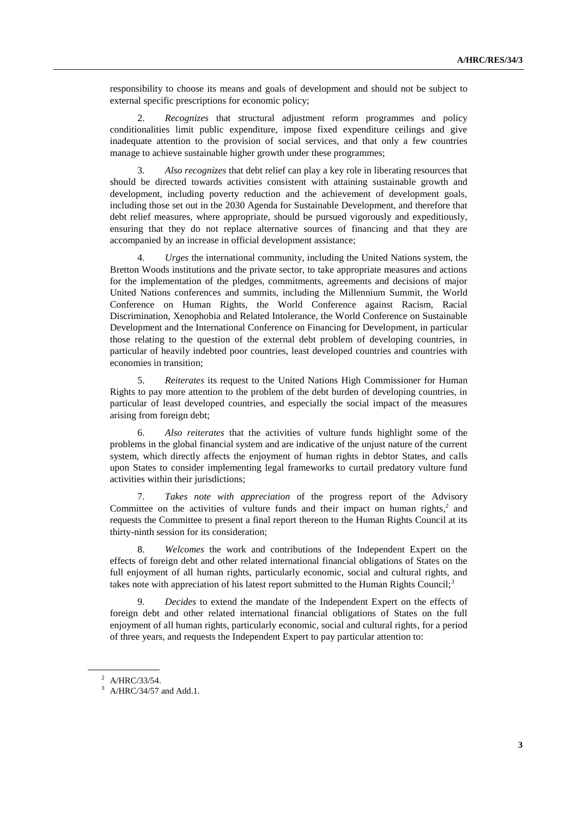responsibility to choose its means and goals of development and should not be subject to external specific prescriptions for economic policy;

2. *Recognizes* that structural adjustment reform programmes and policy conditionalities limit public expenditure, impose fixed expenditure ceilings and give inadequate attention to the provision of social services, and that only a few countries manage to achieve sustainable higher growth under these programmes;

3. *Also recognizes* that debt relief can play a key role in liberating resources that should be directed towards activities consistent with attaining sustainable growth and development, including poverty reduction and the achievement of development goals, including those set out in the 2030 Agenda for Sustainable Development, and therefore that debt relief measures, where appropriate, should be pursued vigorously and expeditiously, ensuring that they do not replace alternative sources of financing and that they are accompanied by an increase in official development assistance;

4. *Urges* the international community, including the United Nations system, the Bretton Woods institutions and the private sector, to take appropriate measures and actions for the implementation of the pledges, commitments, agreements and decisions of major United Nations conferences and summits, including the Millennium Summit, the World Conference on Human Rights, the World Conference against Racism, Racial Discrimination, Xenophobia and Related Intolerance, the World Conference on Sustainable Development and the International Conference on Financing for Development, in particular those relating to the question of the external debt problem of developing countries, in particular of heavily indebted poor countries, least developed countries and countries with economies in transition;

5. *Reiterates* its request to the United Nations High Commissioner for Human Rights to pay more attention to the problem of the debt burden of developing countries, in particular of least developed countries, and especially the social impact of the measures arising from foreign debt;

6. *Also reiterates* that the activities of vulture funds highlight some of the problems in the global financial system and are indicative of the unjust nature of the current system, which directly affects the enjoyment of human rights in debtor States, and calls upon States to consider implementing legal frameworks to curtail predatory vulture fund activities within their jurisdictions;

7. *Takes note with appreciation* of the progress report of the Advisory Committee on the activities of vulture funds and their impact on human rights,<sup>2</sup> and requests the Committee to present a final report thereon to the Human Rights Council at its thirty-ninth session for its consideration;

8. *Welcomes* the work and contributions of the Independent Expert on the effects of foreign debt and other related international financial obligations of States on the full enjoyment of all human rights, particularly economic, social and cultural rights, and takes note with appreciation of his latest report submitted to the Human Rights Council;<sup>3</sup>

9. *Decides* to extend the mandate of the Independent Expert on the effects of foreign debt and other related international financial obligations of States on the full enjoyment of all human rights, particularly economic, social and cultural rights, for a period of three years, and requests the Independent Expert to pay particular attention to:

 $^2$  A/HRC/33/54.

 $3$  A/HRC/34/57 and Add.1.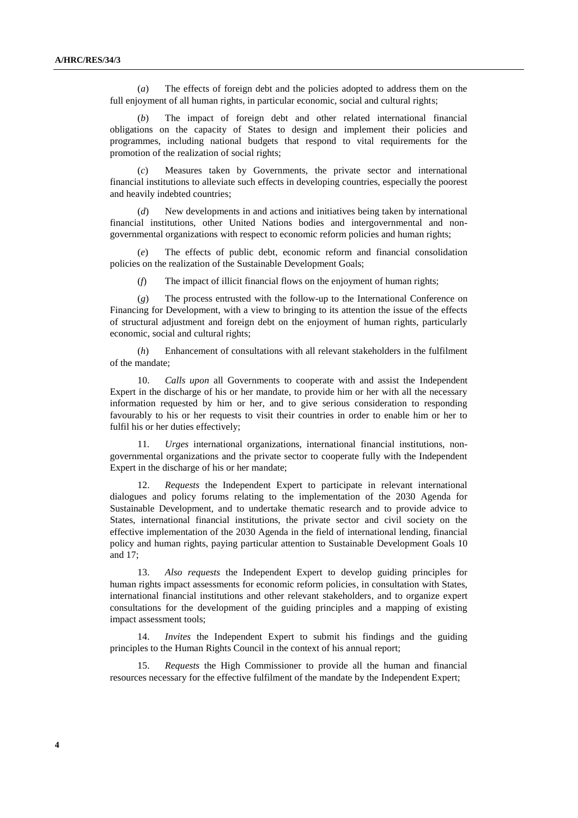(*a*) The effects of foreign debt and the policies adopted to address them on the full enjoyment of all human rights, in particular economic, social and cultural rights;

(*b*) The impact of foreign debt and other related international financial obligations on the capacity of States to design and implement their policies and programmes, including national budgets that respond to vital requirements for the promotion of the realization of social rights;

(*c*) Measures taken by Governments, the private sector and international financial institutions to alleviate such effects in developing countries, especially the poorest and heavily indebted countries;

(*d*) New developments in and actions and initiatives being taken by international financial institutions, other United Nations bodies and intergovernmental and nongovernmental organizations with respect to economic reform policies and human rights;

(*e*) The effects of public debt, economic reform and financial consolidation policies on the realization of the Sustainable Development Goals;

(*f*) The impact of illicit financial flows on the enjoyment of human rights;

(*g*) The process entrusted with the follow-up to the International Conference on Financing for Development, with a view to bringing to its attention the issue of the effects of structural adjustment and foreign debt on the enjoyment of human rights, particularly economic, social and cultural rights;

(*h*) Enhancement of consultations with all relevant stakeholders in the fulfilment of the mandate;

10. *Calls upon* all Governments to cooperate with and assist the Independent Expert in the discharge of his or her mandate, to provide him or her with all the necessary information requested by him or her, and to give serious consideration to responding favourably to his or her requests to visit their countries in order to enable him or her to fulfil his or her duties effectively;

11*. Urges* international organizations, international financial institutions, nongovernmental organizations and the private sector to cooperate fully with the Independent Expert in the discharge of his or her mandate;

12. *Requests* the Independent Expert to participate in relevant international dialogues and policy forums relating to the implementation of the 2030 Agenda for Sustainable Development, and to undertake thematic research and to provide advice to States, international financial institutions, the private sector and civil society on the effective implementation of the 2030 Agenda in the field of international lending, financial policy and human rights, paying particular attention to Sustainable Development Goals 10 and 17;

13. *Also requests* the Independent Expert to develop guiding principles for human rights impact assessments for economic reform policies, in consultation with States, international financial institutions and other relevant stakeholders, and to organize expert consultations for the development of the guiding principles and a mapping of existing impact assessment tools;

14. *Invites* the Independent Expert to submit his findings and the guiding principles to the Human Rights Council in the context of his annual report;

15. *Requests* the High Commissioner to provide all the human and financial resources necessary for the effective fulfilment of the mandate by the Independent Expert;